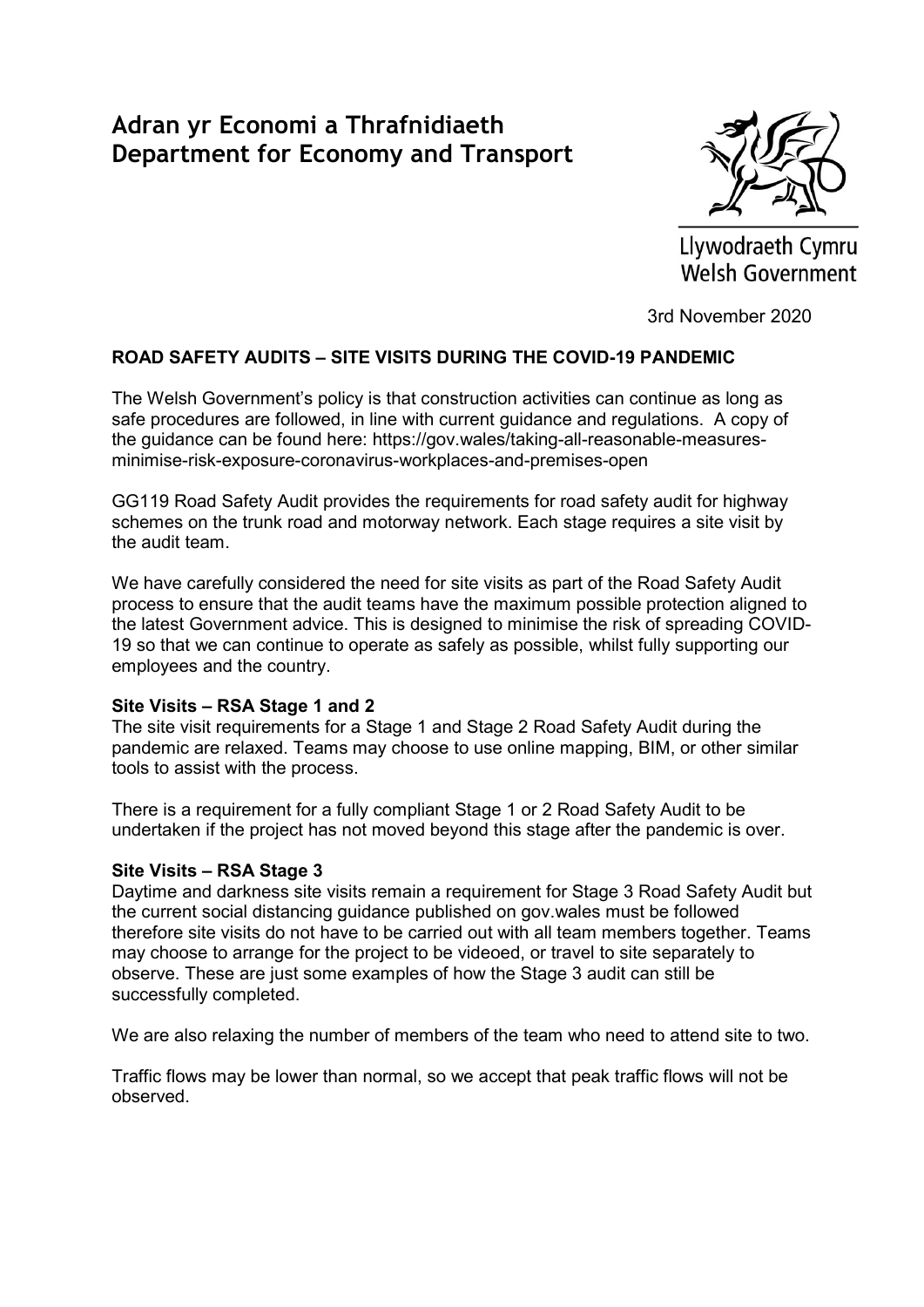# Adran yr Economi a Thrafnidiaeth Department for Economy and Transport



Llywodraeth Cymru **Welsh Government** 

3rd November 2020

## ROAD SAFETY AUDITS – SITE VISITS DURING THE COVID-19 PANDEMIC

The Welsh Government's policy is that construction activities can continue as long as safe procedures are followed, in line with current guidance and regulations. A copy of the guidance can be found here: https://gov.wales/taking-all-reasonable-measuresminimise-risk-exposure-coronavirus-workplaces-and-premises-open

GG119 Road Safety Audit provides the requirements for road safety audit for highway schemes on the trunk road and motorway network. Each stage requires a site visit by the audit team.

We have carefully considered the need for site visits as part of the Road Safety Audit process to ensure that the audit teams have the maximum possible protection aligned to the latest Government advice. This is designed to minimise the risk of spreading COVID-19 so that we can continue to operate as safely as possible, whilst fully supporting our employees and the country.

## Site Visits – RSA Stage 1 and 2

The site visit requirements for a Stage 1 and Stage 2 Road Safety Audit during the pandemic are relaxed. Teams may choose to use online mapping, BIM, or other similar tools to assist with the process.

There is a requirement for a fully compliant Stage 1 or 2 Road Safety Audit to be undertaken if the project has not moved beyond this stage after the pandemic is over.

## Site Visits – RSA Stage 3

Daytime and darkness site visits remain a requirement for Stage 3 Road Safety Audit but the current social distancing guidance published on gov.wales must be followed therefore site visits do not have to be carried out with all team members together. Teams may choose to arrange for the project to be videoed, or travel to site separately to observe. These are just some examples of how the Stage 3 audit can still be successfully completed.

We are also relaxing the number of members of the team who need to attend site to two.

Traffic flows may be lower than normal, so we accept that peak traffic flows will not be observed.